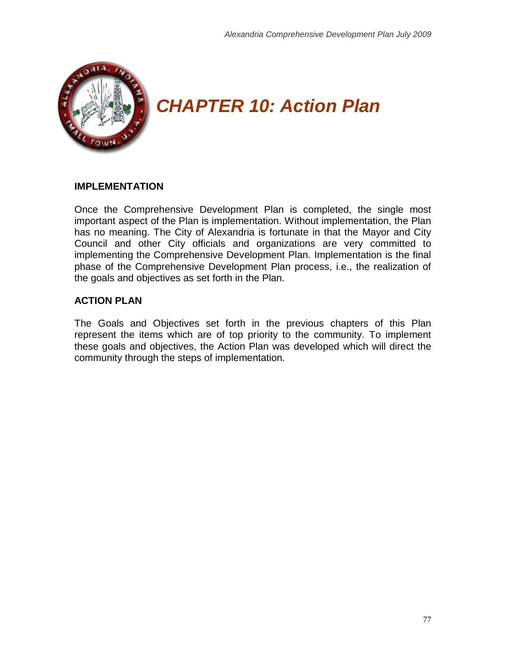

# *CHAPTER 10: Action Plan*

## **IMPLEMENTATION**

Once the Comprehensive Development Plan is completed, the single most important aspect of the Plan is implementation. Without implementation, the Plan has no meaning. The City of Alexandria is fortunate in that the Mayor and City Council and other City officials and organizations are very committed to implementing the Comprehensive Development Plan. Implementation is the final phase of the Comprehensive Development Plan process, i.e., the realization of the goals and objectives as set forth in the Plan.

# **ACTION PLAN**

The Goals and Objectives set forth in the previous chapters of this Plan represent the items which are of top priority to the community. To implement these goals and objectives, the Action Plan was developed which will direct the community through the steps of implementation.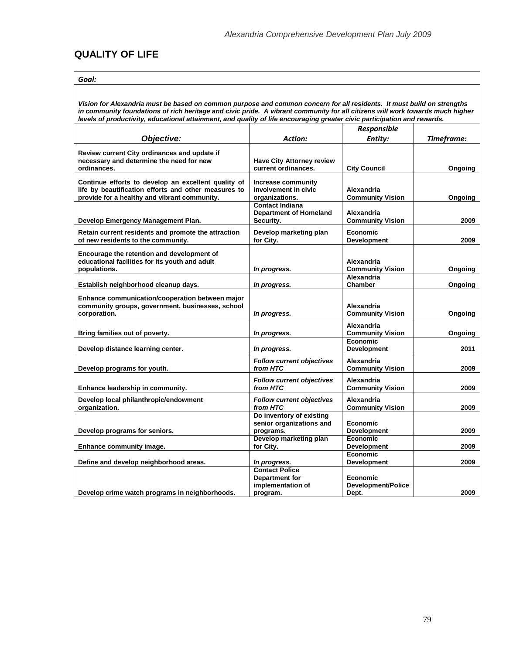## **QUALITY OF LIFE**

| ×<br>٠ | ×<br>۰. | . . |
|--------|---------|-----|
|        |         |     |

*Vision for Alexandria must be based on common purpose and common concern for all residents. It must build on strengths in community foundations of rich heritage and civic pride. A vibrant community for all citizens will work towards much higher levels of productivity, educational attainment, and quality of life encouraging greater civic participation and rewards.*

|                                                                                                                                                             |                                                                                 | Responsible                             |            |
|-------------------------------------------------------------------------------------------------------------------------------------------------------------|---------------------------------------------------------------------------------|-----------------------------------------|------------|
| Objective:                                                                                                                                                  | <b>Action:</b>                                                                  | Entity:                                 | Timeframe: |
| Review current City ordinances and update if<br>necessary and determine the need for new<br>ordinances.                                                     | <b>Have City Attorney review</b><br>current ordinances.                         | <b>City Council</b>                     | Ongoing    |
| Continue efforts to develop an excellent quality of<br>life by beautification efforts and other measures to<br>provide for a healthy and vibrant community. | Increase community<br>involvement in civic<br>organizations.                    | Alexandria<br><b>Community Vision</b>   | Ongoing    |
| Develop Emergency Management Plan.                                                                                                                          | <b>Contact Indiana</b><br><b>Department of Homeland</b><br>Security.            | Alexandria<br><b>Community Vision</b>   | 2009       |
| Retain current residents and promote the attraction<br>of new residents to the community.                                                                   | Develop marketing plan<br>for City.                                             | <b>Economic</b><br><b>Development</b>   | 2009       |
| Encourage the retention and development of<br>educational facilities for its youth and adult<br>populations.                                                | In progress.                                                                    | Alexandria<br><b>Community Vision</b>   | Ongoing    |
| Establish neighborhood cleanup days.                                                                                                                        | In progress.                                                                    | Alexandria<br><b>Chamber</b>            | Ongoing    |
| Enhance communication/cooperation between major<br>community groups, government, businesses, school<br>corporation.                                         | In progress.                                                                    | Alexandria<br><b>Community Vision</b>   | Ongoing    |
| Bring families out of poverty.                                                                                                                              | In progress.                                                                    | Alexandria<br><b>Community Vision</b>   | Ongoing    |
| Develop distance learning center.                                                                                                                           | In progress.                                                                    | Economic<br><b>Development</b>          | 2011       |
| Develop programs for youth.                                                                                                                                 | Follow current objectives<br>from HTC                                           | Alexandria<br><b>Community Vision</b>   | 2009       |
| Enhance leadership in community.                                                                                                                            | <b>Follow current objectives</b><br>from HTC                                    | Alexandria<br><b>Community Vision</b>   | 2009       |
| Develop local philanthropic/endowment<br>organization.                                                                                                      | <b>Follow current objectives</b><br>from HTC                                    | Alexandria<br><b>Community Vision</b>   | 2009       |
| Develop programs for seniors.                                                                                                                               | Do inventory of existing<br>senior organizations and<br>programs.               | <b>Economic</b><br><b>Development</b>   | 2009       |
| Enhance community image.                                                                                                                                    | Develop marketing plan<br>for City.                                             | <b>Economic</b><br><b>Development</b>   | 2009       |
| Define and develop neighborhood areas.                                                                                                                      | In progress.                                                                    | <b>Economic</b><br><b>Development</b>   | 2009       |
| Develop crime watch programs in neighborhoods.                                                                                                              | <b>Contact Police</b><br><b>Department for</b><br>implementation of<br>program. | Economic<br>Development/Police<br>Dept. | 2009       |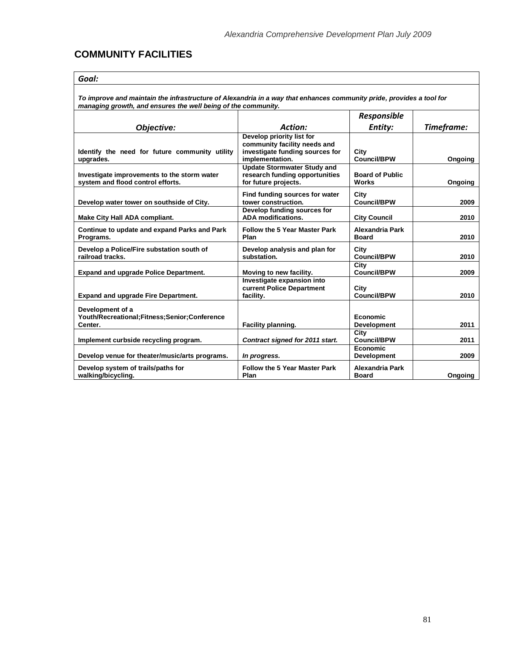# **COMMUNITY FACILITIES**

*To improve and maintain the infrastructure of Alexandria in a way that enhances community pride, provides a tool for managing growth, and ensures the well being of the community.*

|                                                                                  |                                                                                                                 | Responsible                            |            |
|----------------------------------------------------------------------------------|-----------------------------------------------------------------------------------------------------------------|----------------------------------------|------------|
| Objective:                                                                       | Action:                                                                                                         | Entity:                                | Timeframe: |
| Identify the need for future community utility<br>upgrades.                      | Develop priority list for<br>community facility needs and<br>investigate funding sources for<br>implementation. | City<br><b>Council/BPW</b>             | Ongoing    |
| Investigate improvements to the storm water<br>system and flood control efforts. | <b>Update Stormwater Study and</b><br>research funding opportunities<br>for future projects.                    | <b>Board of Public</b><br><b>Works</b> | Ongoing    |
| Develop water tower on southside of City.                                        | Find funding sources for water<br>tower construction.                                                           | City<br><b>Council/BPW</b>             | 2009       |
| <b>Make City Hall ADA compliant.</b>                                             | Develop funding sources for<br><b>ADA</b> modifications.                                                        | <b>City Council</b>                    | 2010       |
| Continue to update and expand Parks and Park<br>Programs.                        | <b>Follow the 5 Year Master Park</b><br>Plan                                                                    | <b>Alexandria Park</b><br><b>Board</b> | 2010       |
| Develop a Police/Fire substation south of<br>railroad tracks.                    | Develop analysis and plan for<br>substation.                                                                    | City<br><b>Council/BPW</b>             | 2010       |
| <b>Expand and upgrade Police Department.</b>                                     | Moving to new facility.                                                                                         | City<br>Council/BPW                    | 2009       |
| <b>Expand and upgrade Fire Department.</b>                                       | Investigate expansion into<br>current Police Department<br>facility.                                            | City<br>Council/BPW                    | 2010       |
| Development of a<br>Youth/Recreational;Fitness;Senior;Conference<br>Center.      | Facility planning.                                                                                              | Economic<br><b>Development</b>         | 2011       |
| Implement curbside recycling program.                                            | Contract signed for 2011 start.                                                                                 | City<br><b>Council/BPW</b>             | 2011       |
| Develop venue for theater/music/arts programs.                                   | In progress.                                                                                                    | Economic<br><b>Development</b>         | 2009       |
| Develop system of trails/paths for<br>walking/bicycling.                         | <b>Follow the 5 Year Master Park</b><br>Plan                                                                    | <b>Alexandria Park</b><br><b>Board</b> | Ongoing    |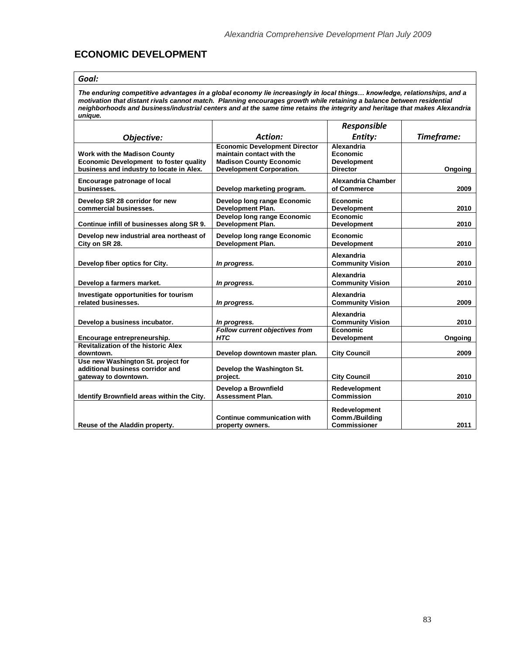# **ECONOMIC DEVELOPMENT**

#### *Goal:*

*The enduring competitive advantages in a global economy lie increasingly in local things… knowledge, relationships, and a motivation that distant rivals cannot match. Planning encourages growth while retaining a balance between residential neighborhoods and business/industrial centers and at the same time retains the integrity and heritage that makes Alexandria unique.*

|                                               |                                      | Responsible               |            |
|-----------------------------------------------|--------------------------------------|---------------------------|------------|
| Objective:                                    | <b>Action:</b>                       | Entity:                   | Timeframe: |
|                                               | <b>Economic Development Director</b> | Alexandria                |            |
| <b>Work with the Madison County</b>           | maintain contact with the            | Economic                  |            |
| <b>Economic Development to foster quality</b> | <b>Madison County Economic</b>       | <b>Development</b>        |            |
| business and industry to locate in Alex.      | <b>Development Corporation.</b>      | <b>Director</b>           | Ongoing    |
| Encourage patronage of local                  |                                      | <b>Alexandria Chamber</b> |            |
| businesses.                                   | Develop marketing program.           | of Commerce               | 2009       |
| Develop SR 28 corridor for new                | Develop long range Economic          | Economic                  |            |
| commercial businesses.                        | <b>Development Plan.</b>             | <b>Development</b>        | 2010       |
|                                               | Develop long range Economic          | Economic                  |            |
| Continue infill of businesses along SR 9.     | Development Plan.                    | <b>Development</b>        | 2010       |
|                                               |                                      |                           |            |
| Develop new industrial area northeast of      | Develop long range Economic          | Economic                  |            |
| City on SR 28.                                | <b>Development Plan.</b>             | <b>Development</b>        | 2010       |
|                                               |                                      | Alexandria                |            |
|                                               |                                      | <b>Community Vision</b>   | 2010       |
| Develop fiber optics for City.                | In progress.                         |                           |            |
|                                               |                                      | Alexandria                |            |
| Develop a farmers market.                     | In progress.                         | <b>Community Vision</b>   | 2010       |
| Investigate opportunities for tourism         |                                      | Alexandria                |            |
| related businesses.                           | In progress.                         | <b>Community Vision</b>   | 2009       |
|                                               |                                      |                           |            |
|                                               |                                      | Alexandria                |            |
| Develop a business incubator.                 | In progress.                         | <b>Community Vision</b>   | 2010       |
|                                               | Follow current objectives from       | Economic                  |            |
| Encourage entrepreneurship.                   | <b>HTC</b>                           | <b>Development</b>        | Ongoing    |
| <b>Revitalization of the historic Alex</b>    |                                      |                           |            |
| downtown.                                     | Develop downtown master plan.        | <b>City Council</b>       | 2009       |
| Use new Washington St. project for            |                                      |                           |            |
| additional business corridor and              | Develop the Washington St.           |                           |            |
| gateway to downtown.                          | project.                             | <b>City Council</b>       | 2010       |
|                                               | Develop a Brownfield                 | <b>Redevelopment</b>      |            |
| Identify Brownfield areas within the City.    | <b>Assessment Plan.</b>              | <b>Commission</b>         | 2010       |
|                                               |                                      |                           |            |
|                                               |                                      | Redevelopment             |            |
|                                               | Continue communication with          | Comm./Building            |            |
| Reuse of the Aladdin property.                | property owners.                     | Commissioner              | 2011       |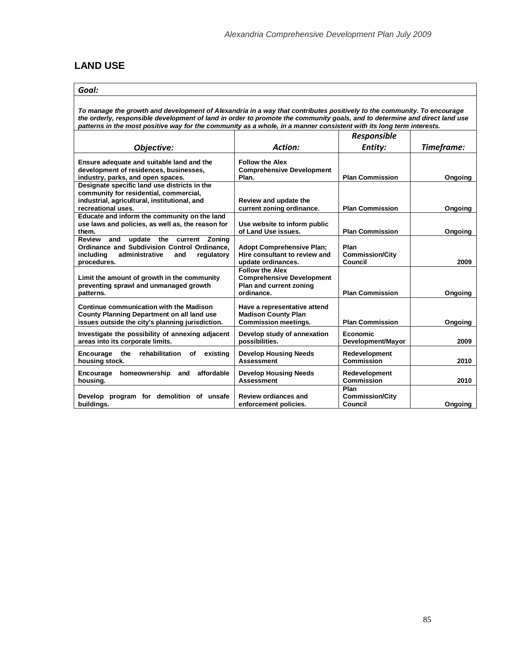# **LAND USE**

#### *Goal:*

*To manage the growth and development of Alexandria in a way that contributes positively to the community. To encourage the orderly, responsible development of land in order to promote the community goals, and to determine and direct land use patterns in the most positive way for the community as a whole, in a manner consistent with its long term interests.*

|                                                                                                                                                               |                                                                                                     | <b>Responsible</b>                        |            |
|---------------------------------------------------------------------------------------------------------------------------------------------------------------|-----------------------------------------------------------------------------------------------------|-------------------------------------------|------------|
| Obiective:                                                                                                                                                    | Action:                                                                                             | Entity:                                   | Timeframe: |
| Ensure adequate and suitable land and the<br>development of residences, businesses,<br>industry, parks, and open spaces.                                      | <b>Follow the Alex</b><br><b>Comprehensive Development</b><br>Plan.                                 | <b>Plan Commission</b>                    | Ongoing    |
| Designate specific land use districts in the<br>community for residential, commercial,<br>industrial, agricultural, institutional, and<br>recreational uses.  | Review and update the<br>current zoning ordinance.                                                  | <b>Plan Commission</b>                    | Ongoing    |
| Educate and inform the community on the land<br>use laws and policies, as well as, the reason for<br>them.                                                    | Use website to inform public<br>of Land Use issues.                                                 | <b>Plan Commission</b>                    | Ongoing    |
| Review<br>and<br>update the current Zoning<br>Ordinance and Subdivision Control Ordinance,<br>administrative<br>including<br>regulatory<br>and<br>procedures. | <b>Adopt Comprehensive Plan:</b><br>Hire consultant to review and<br>update ordinances.             | Plan<br><b>Commission/City</b><br>Council | 2009       |
| Limit the amount of growth in the community<br>preventing sprawl and unmanaged growth<br>patterns.                                                            | <b>Follow the Alex</b><br><b>Comprehensive Development</b><br>Plan and current zoning<br>ordinance. | <b>Plan Commission</b>                    | Ongoing    |
| Continue communication with the Madison<br><b>County Planning Department on all land use</b><br>issues outside the city's planning jurisdiction.              | Have a representative attend<br><b>Madison County Plan</b><br><b>Commission meetings.</b>           | <b>Plan Commission</b>                    | Ongoing    |
| Investigate the possibility of annexing adjacent<br>areas into its corporate limits.                                                                          | Develop study of annexation<br>possibilities.                                                       | Economic<br>Development/Mayor             | 2009       |
| Encourage<br>the<br>rehabilitation<br>existing<br>οf<br>housing stock.                                                                                        | <b>Develop Housing Needs</b><br><b>Assessment</b>                                                   | Redevelopment<br><b>Commission</b>        | 2010       |
| affordable<br>homeownership and<br>Encourage<br>housing.                                                                                                      | <b>Develop Housing Needs</b><br><b>Assessment</b>                                                   | Redevelopment<br><b>Commission</b>        | 2010       |
| Develop program for demolition of unsafe<br>buildings.                                                                                                        | <b>Review ordiances and</b><br>enforcement policies.                                                | Plan<br><b>Commission/City</b><br>Council | Ongoing    |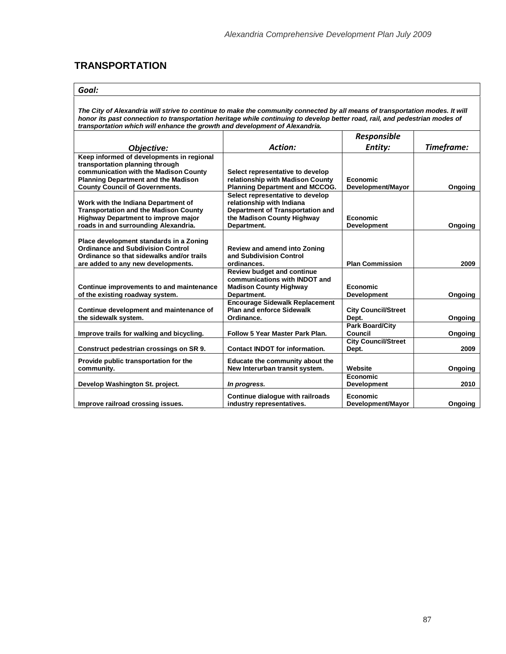# **TRANSPORTATION**

#### *Goal:*

*The City of Alexandria will strive to continue to make the community connected by all means of transportation modes. It will honor its past connection to transportation heritage while continuing to develop better road, rail, and pedestrian modes of transportation which will enhance the growth and development of Alexandria.* 

|                                                                                                                                                                        |                                                                                                                                                       | <b>Responsible</b>                  |            |
|------------------------------------------------------------------------------------------------------------------------------------------------------------------------|-------------------------------------------------------------------------------------------------------------------------------------------------------|-------------------------------------|------------|
| Objective:                                                                                                                                                             | Action:                                                                                                                                               | Entity:                             | Timeframe: |
| Keep informed of developments in regional<br>transportation planning through<br>communication with the Madison County<br><b>Planning Department and the Madison</b>    | Select representative to develop<br>relationship with Madison County                                                                                  | Economic                            |            |
| <b>County Council of Governments.</b>                                                                                                                                  | <b>Planning Department and MCCOG.</b>                                                                                                                 | Development/Mayor                   | Ongoing    |
| Work with the Indiana Department of<br><b>Transportation and the Madison County</b><br>Highway Department to improve major<br>roads in and surrounding Alexandria.     | Select representative to develop<br>relationship with Indiana<br><b>Department of Transportation and</b><br>the Madison County Highway<br>Department. | Economic<br><b>Development</b>      | Ongoing    |
| Place development standards in a Zoning<br><b>Ordinance and Subdivision Control</b><br>Ordinance so that sidewalks and/or trails<br>are added to any new developments. | <b>Review and amend into Zoning</b><br>and Subdivision Control<br>ordinances.                                                                         | <b>Plan Commission</b>              | 2009       |
| Continue improvements to and maintenance<br>of the existing roadway system.                                                                                            | <b>Review budget and continue</b><br>communications with INDOT and<br><b>Madison County Highway</b><br>Department.                                    | Economic<br><b>Development</b>      | Ongoing    |
| Continue development and maintenance of<br>the sidewalk system.                                                                                                        | <b>Encourage Sidewalk Replacement</b><br><b>Plan and enforce Sidewalk</b><br>Ordinance.                                                               | <b>City Council/Street</b><br>Dept. | Ongoing    |
| Improve trails for walking and bicycling.                                                                                                                              | Follow 5 Year Master Park Plan.                                                                                                                       | <b>Park Board/City</b><br>Council   | Ongoing    |
| Construct pedestrian crossings on SR 9.                                                                                                                                | <b>Contact INDOT for information.</b>                                                                                                                 | <b>City Council/Street</b><br>Dept. | 2009       |
| Provide public transportation for the<br>community.                                                                                                                    | Educate the community about the<br>New Interurban transit system.                                                                                     | Website                             | Ongoing    |
| Develop Washington St. project.                                                                                                                                        | In progress.                                                                                                                                          | Economic<br><b>Development</b>      | 2010       |
| Improve railroad crossing issues.                                                                                                                                      | Continue dialogue with railroads<br>industry representatives.                                                                                         | Economic<br>Development/Mayor       | Ongoing    |